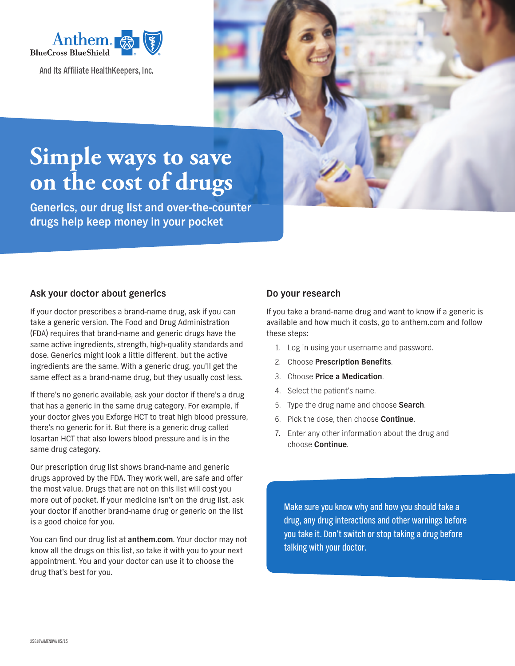

And Its Affiliate HealthKeepers, Inc.



# **Simple ways to save on the cost of drugs**

**Generics, our drug list and over-the-counter drugs help keep money in your pocket**

# **Ask your doctor about generics**

If your doctor prescribes a brand-name drug, ask if you can take a generic version. The Food and Drug Administration (FDA) requires that brand-name and generic drugs have the same active ingredients, strength, high-quality standards and dose. Generics might look a little different, but the active ingredients are the same. With a generic drug, you'll get the same effect as a brand-name drug, but they usually cost less.

If there's no generic available, ask your doctor if there's a drug that has a generic in the same drug category. For example, if your doctor gives you Exforge HCT to treat high blood pressure, there's no generic for it. But there is a generic drug called losartan HCT that also lowers blood pressure and is in the same drug category.

Our prescription drug list shows brand-name and generic drugs approved by the FDA. They work well, are safe and offer the most value. Drugs that are not on this list will cost you more out of pocket. If your medicine isn't on the drug list, ask your doctor if another brand-name drug or generic on the list is a good choice for you.

You can find our drug list at **anthem.com**. Your doctor may not know all the drugs on this list, so take it with you to your next appointment. You and your doctor can use it to choose the drug that's best for you.

# **Do your research**

If you take a brand-name drug and want to know if a generic is available and how much it costs, go to anthem.com and follow these steps:

- 1. Log in using your username and password.
- 2. Choose **Prescription Benefits**.
- 3. Choose **Price a Medication**.
- 4. Select the patient's name.
- 5. Type the drug name and choose **Search**.
- 6. Pick the dose, then choose **Continue**.
- 7. Enter any other information about the drug and choose **Continue**.

Make sure you know why and how you should take a drug, any drug interactions and other warnings before you take it. Don't switch or stop taking a drug before talking with your doctor.